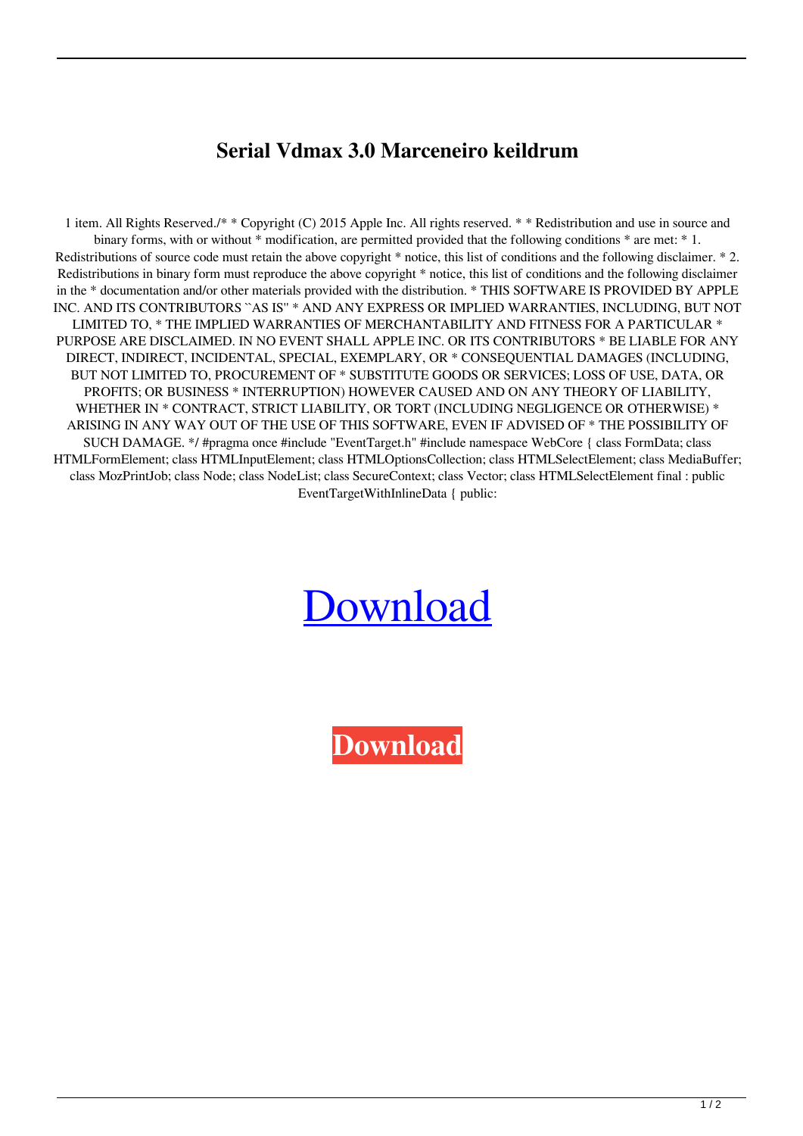## **Serial Vdmax 3.0 Marceneiro keildrum**

1 item. All Rights Reserved./\* \* Copyright (C) 2015 Apple Inc. All rights reserved. \* \* Redistribution and use in source and binary forms, with or without \* modification, are permitted provided that the following conditions \* are met: \* 1. Redistributions of source code must retain the above copyright \* notice, this list of conditions and the following disclaimer. \* 2. Redistributions in binary form must reproduce the above copyright \* notice, this list of conditions and the following disclaimer in the \* documentation and/or other materials provided with the distribution. \* THIS SOFTWARE IS PROVIDED BY APPLE INC. AND ITS CONTRIBUTORS ``AS IS'' \* AND ANY EXPRESS OR IMPLIED WARRANTIES, INCLUDING, BUT NOT LIMITED TO, \* THE IMPLIED WARRANTIES OF MERCHANTABILITY AND FITNESS FOR A PARTICULAR \* PURPOSE ARE DISCLAIMED. IN NO EVENT SHALL APPLE INC. OR ITS CONTRIBUTORS \* BE LIABLE FOR ANY DIRECT, INDIRECT, INCIDENTAL, SPECIAL, EXEMPLARY, OR \* CONSEQUENTIAL DAMAGES (INCLUDING, BUT NOT LIMITED TO, PROCUREMENT OF \* SUBSTITUTE GOODS OR SERVICES; LOSS OF USE, DATA, OR PROFITS; OR BUSINESS \* INTERRUPTION) HOWEVER CAUSED AND ON ANY THEORY OF LIABILITY, WHETHER IN \* CONTRACT, STRICT LIABILITY, OR TORT (INCLUDING NEGLIGENCE OR OTHERWISE) \* ARISING IN ANY WAY OUT OF THE USE OF THIS SOFTWARE, EVEN IF ADVISED OF \* THE POSSIBILITY OF SUCH DAMAGE. \*/ #pragma once #include "EventTarget.h" #include namespace WebCore { class FormData; class HTMLFormElement; class HTMLInputElement; class HTMLOptionsCollection; class HTMLSelectElement; class MediaBuffer; class MozPrintJob; class Node; class NodeList; class SecureContext; class Vector; class HTMLSelectElement final : public EventTargetWithInlineData { public:

## [Download](http://evacdir.com/pius/U2VyaWFsIFZkbWF4IDMuMCBNYXJjZW5laXJvU2V/gull/?heliotropine=immunosuppresents&banding=ZG93bmxvYWR8b2IyTVhVeGVIeDhNVFkxTWpRMk16QTFNSHg4TWpVM05IeDhLRTBwSUhKbFlXUXRZbXh2WnlCYlJtRnpkQ0JIUlU1ZA.inquiries)

**[Download](http://evacdir.com/pius/U2VyaWFsIFZkbWF4IDMuMCBNYXJjZW5laXJvU2V/gull/?heliotropine=immunosuppresents&banding=ZG93bmxvYWR8b2IyTVhVeGVIeDhNVFkxTWpRMk16QTFNSHg4TWpVM05IeDhLRTBwSUhKbFlXUXRZbXh2WnlCYlJtRnpkQ0JIUlU1ZA.inquiries)**